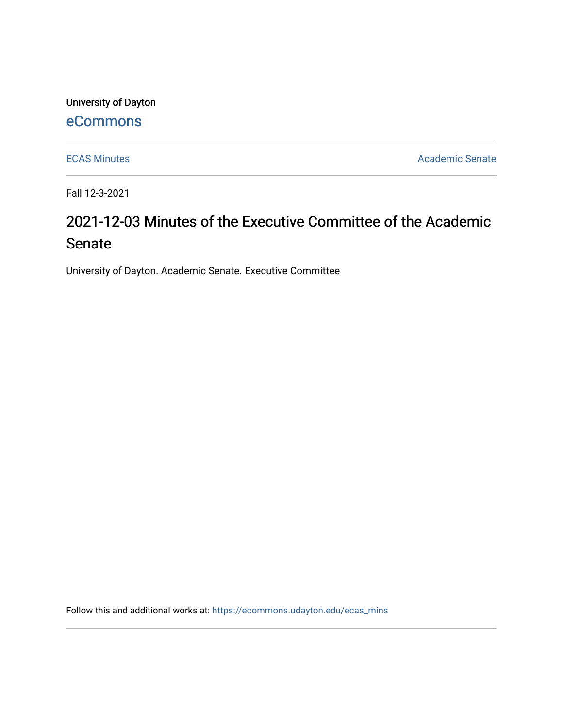University of Dayton

# [eCommons](https://ecommons.udayton.edu/)

[ECAS Minutes](https://ecommons.udayton.edu/ecas_mins) **Academic Senate** 

Fall 12-3-2021

# 2021-12-03 Minutes of the Executive Committee of the Academic Senate

University of Dayton. Academic Senate. Executive Committee

Follow this and additional works at: [https://ecommons.udayton.edu/ecas\\_mins](https://ecommons.udayton.edu/ecas_mins?utm_source=ecommons.udayton.edu%2Fecas_mins%2F548&utm_medium=PDF&utm_campaign=PDFCoverPages)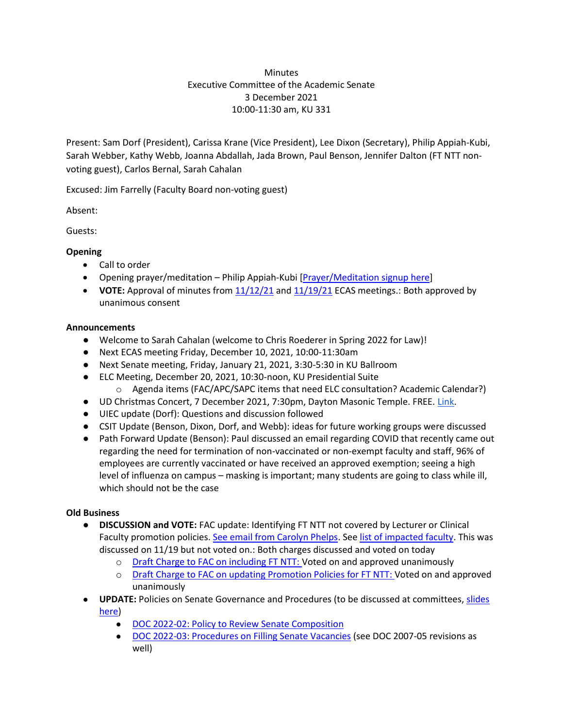# **Minutes** Executive Committee of the Academic Senate 3 December 2021 10:00-11:30 am, KU 331

Present: Sam Dorf (President), Carissa Krane (Vice President), Lee Dixon (Secretary), Philip Appiah-Kubi, Sarah Webber, Kathy Webb, Joanna Abdallah, Jada Brown, Paul Benson, Jennifer Dalton (FT NTT nonvoting guest), Carlos Bernal, Sarah Cahalan

Excused: Jim Farrelly (Faculty Board non-voting guest)

Absent:

Guests:

## **Opening**

- Call to order
- Opening prayer/meditation Philip Appiah-Kubi [\[Prayer/Meditation signup here\]](https://docs.google.com/document/d/1Say8mwTU7gLV_4XTtxgnfhOrTL-r7Z3r/edit?usp=sharing&ouid=114374222774523335638&rtpof=true&sd=true)
- **VOTE:** Approval of minutes from [11/12/21](https://docs.google.com/document/d/1NgB7ZanMLghtYDTY0PuBA2qYc3OWw3r0/edit?usp=sharing&ouid=114374222774523335638&rtpof=true&sd=true) an[d 11/19/21](https://docs.google.com/document/d/1R22YN6Z0lc6mCFsOB1AhuhJPTH2yGQ3v/edit?usp=sharing&ouid=114374222774523335638&rtpof=true&sd=true) ECAS meetings.: Both approved by unanimous consent

## **Announcements**

- Welcome to Sarah Cahalan (welcome to Chris Roederer in Spring 2022 for Law)!
- Next ECAS meeting Friday, December 10, 2021, 10:00-11:30am
- Next Senate meeting, Friday, January 21, 2021, 3:30-5:30 in KU Ballroom
- ELC Meeting, December 20, 2021, 10:30-noon, KU Presidential Suite
- o Agenda items (FAC/APC/SAPC items that need ELC consultation? Academic Calendar?)
- UD Christmas Concert, 7 December 2021, 7:30pm, Dayton Masonic Temple. FREE. [Link.](https://udayton.edu/calendar/2021/12/christmas-concert-at-the-masonic-center.php)
- UIEC update (Dorf): Questions and discussion followed
- CSIT Update (Benson, Dixon, Dorf, and Webb): ideas for future working groups were discussed
- Path Forward Update (Benson): Paul discussed an email regarding COVID that recently came out regarding the need for termination of non-vaccinated or non-exempt faculty and staff, 96% of employees are currently vaccinated or have received an approved exemption; seeing a high level of influenza on campus – masking is important; many students are going to class while ill, which should not be the case

#### **Old Business**

- **DISCUSSION and VOTE:** FAC update: Identifying FT NTT not covered by Lecturer or Clinical Faculty promotion policies[. See email from Carolyn Phelps.](https://drive.google.com/file/d/1k4vxzJQhZ2qbTRBwbzynkASuo1VUV6nc/view?usp=sharing) See [list of impacted faculty.](https://docs.google.com/spreadsheets/d/1tS-aMXWVVavVfH_ptWILPMVAqLHKiK1e/edit?usp=sharing&ouid=114374222774523335638&rtpof=true&sd=true) This was discussed on 11/19 but not voted on.: Both charges discussed and voted on today
	- o [Draft Charge to FAC on including FT NTT:](https://docs.google.com/document/d/14exkpU7O50BZGdXrJhoHMrftc_OskXnSK6jWEN3Rf9o/edit?usp=sharing) Voted on and approved unanimously
	- o [Draft Charge to FAC on updating Promotion Policies for FT NTT:](https://docs.google.com/document/d/1pD6VRf7SO8roHrNuBYj9VOxSC9zQJqNh554XmwnC-cI/edit?usp=sharing) Voted on and approved unanimously
- **UPDATE:** Policies on Senate Governance and Procedures (to be discussed at committees, [slides](https://docs.google.com/presentation/d/1AuOM2K8XT0IZJbCdMV-dR0Zb9GFImYHi/edit?usp=sharing&ouid=114374222774523335638&rtpof=true&sd=true)  [here\)](https://docs.google.com/presentation/d/1AuOM2K8XT0IZJbCdMV-dR0Zb9GFImYHi/edit?usp=sharing&ouid=114374222774523335638&rtpof=true&sd=true)
	- [DOC 2022-02: Policy to Review Senate Composition](https://docs.google.com/document/d/11cxi6x-Kpg5wlhPY7hIm8AUj76WvCQWx/edit?usp=sharing&ouid=114374222774523335638&rtpof=true&sd=true)
	- [DOC 2022-03: Procedures on Filling Senate Vacancies](https://docs.google.com/document/d/1BpZ_bDP8P1-rgzbuNjU3DXPFjjlztgrl/edit?usp=sharing&ouid=114374222774523335638&rtpof=true&sd=true) (see DOC 2007-05 revisions as well)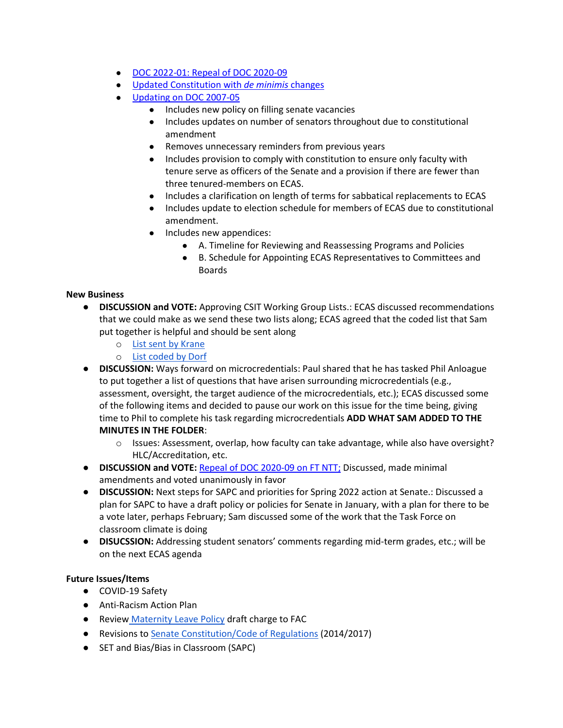- [DOC 2022-01: Repeal of DOC 2020-09](https://docs.google.com/document/d/14ZfocVj9LwI-D-Qp9kM0WD8mmxh9986lWAa2dzlkPbQ/edit?usp=sharing)
- [Updated Constitution](https://docs.google.com/document/d/1uppexRYzNvnkk4weM51WR7lJPrHs7BAk/edit?usp=sharing&ouid=114374222774523335638&rtpof=true&sd=true) with *de minimis* changes
- [Updating on DOC 2007-05](https://docs.google.com/document/d/1MLG4EgNTOO2D21b7HPeKxP8NyFqnwy1O/edit?usp=sharing&ouid=114374222774523335638&rtpof=true&sd=true)
	- Includes new policy on filling senate vacancies
	- Includes updates on number of senators throughout due to constitutional amendment
	- Removes unnecessary reminders from previous years
	- Includes provision to comply with constitution to ensure only faculty with tenure serve as officers of the Senate and a provision if there are fewer than three tenured-members on ECAS.
	- Includes a clarification on length of terms for sabbatical replacements to ECAS
	- Includes update to election schedule for members of ECAS due to constitutional amendment.
	- Includes new appendices:
		- A. Timeline for Reviewing and Reassessing Programs and Policies
		- B. Schedule for Appointing ECAS Representatives to Committees and Boards

#### **New Business**

- **DISCUSSION and VOTE:** Approving CSIT Working Group Lists.: ECAS discussed recommendations that we could make as we send these two lists along; ECAS agreed that the coded list that Sam put together is helpful and should be sent along
	- o [List sent by Krane](https://docs.google.com/spreadsheets/d/1AuMPiljQCmi6oNhtThB6KUtq55C6hHp_JGBvm1xFUyw/edit?usp=sharing)
	- o [List coded by Dorf](https://docs.google.com/spreadsheets/d/1YHM931lNjwxMYKgGfwkTNVvhcDQ66e3P/edit?usp=sharing&ouid=114374222774523335638&rtpof=true&sd=true)
- **DISCUSSION:** Ways forward on microcredentials: Paul shared that he has tasked Phil Anloague to put together a list of questions that have arisen surrounding microcredentials (e.g., assessment, oversight, the target audience of the microcredentials, etc.); ECAS discussed some of the following items and decided to pause our work on this issue for the time being, giving time to Phil to complete his task regarding microcredentials **ADD WHAT SAM ADDED TO THE MINUTES IN THE FOLDER**:
	- o Issues: Assessment, overlap, how faculty can take advantage, while also have oversight? HLC/Accreditation, etc.
- **DISCUSSION and VOTE:** [Repeal of DOC 2020-09 on FT NTT;](https://docs.google.com/document/d/14ZfocVj9LwI-D-Qp9kM0WD8mmxh9986lWAa2dzlkPbQ/edit?usp=sharing) Discussed, made minimal amendments and voted unanimously in favor
- **DISCUSSION:** Next steps for SAPC and priorities for Spring 2022 action at Senate.: Discussed a plan for SAPC to have a draft policy or policies for Senate in January, with a plan for there to be a vote later, perhaps February; Sam discussed some of the work that the Task Force on classroom climate is doing
- **DISUCSSION:** Addressing student senators' comments regarding mid-term grades, etc.; will be on the next ECAS agenda

#### **Future Issues/Items**

- COVID-19 Safety
- Anti-Racism Action Plan
- Review [Maternity Leave Policy](https://ecommons.udayton.edu/cgi/viewcontent.cgi?article=1038&context=senate_docs) draft charge to FAC
- Revisions to [Senate Constitution/Code of Regulations](https://drive.google.com/file/d/1FE4HIp5nKgfgFEpzkthtUeF-u_54WgeA/view?usp=sharing) (2014/2017)
- SET and Bias/Bias in Classroom (SAPC)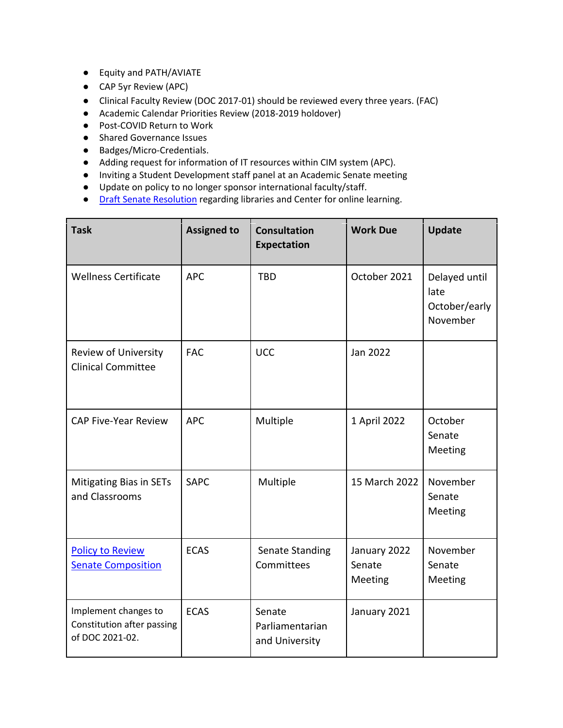- Equity and PATH/AVIATE
- CAP 5yr Review (APC)
- Clinical Faculty Review (DOC 2017-01) should be reviewed every three years. (FAC)
- Academic Calendar Priorities Review (2018-2019 holdover)
- Post-COVID Return to Work
- Shared Governance Issues
- Badges/Micro-Credentials.
- Adding request for information of IT resources within CIM system (APC).
- Inviting a Student Development staff panel at an Academic Senate meeting
- Update on policy to no longer sponsor international faculty/staff.
- **•** [Draft Senate](https://docs.google.com/document/d/1xjJPkvF1RwPx6ox_v4-haphE0rYF4g6j/edit?usp=sharing&ouid=114374222774523335638&rtpof=true&sd=true) [Resolution](https://docs.google.com/document/d/1xjJPkvF1RwPx6ox_v4-haphE0rYF4g6j/edit?usp=sharing&ouid=114374222774523335638&rtpof=true&sd=true) regarding libraries and Center for online learning.

| <b>Task</b>                                                           | <b>Assigned to</b> | <b>Consultation</b><br><b>Expectation</b>   | <b>Work Due</b>                   | <b>Update</b>                                      |
|-----------------------------------------------------------------------|--------------------|---------------------------------------------|-----------------------------------|----------------------------------------------------|
| <b>Wellness Certificate</b>                                           | <b>APC</b>         | <b>TBD</b>                                  | October 2021                      | Delayed until<br>late<br>October/early<br>November |
| Review of University<br><b>Clinical Committee</b>                     | <b>FAC</b>         | <b>UCC</b>                                  | Jan 2022                          |                                                    |
| <b>CAP Five-Year Review</b>                                           | <b>APC</b>         | Multiple                                    | 1 April 2022                      | October<br>Senate<br>Meeting                       |
| <b>Mitigating Bias in SETs</b><br>and Classrooms                      | <b>SAPC</b>        | Multiple                                    | 15 March 2022                     | November<br>Senate<br>Meeting                      |
| <b>Policy to Review</b><br><b>Senate Composition</b>                  | <b>ECAS</b>        | Senate Standing<br>Committees               | January 2022<br>Senate<br>Meeting | November<br>Senate<br>Meeting                      |
| Implement changes to<br>Constitution after passing<br>of DOC 2021-02. | <b>ECAS</b>        | Senate<br>Parliamentarian<br>and University | January 2021                      |                                                    |